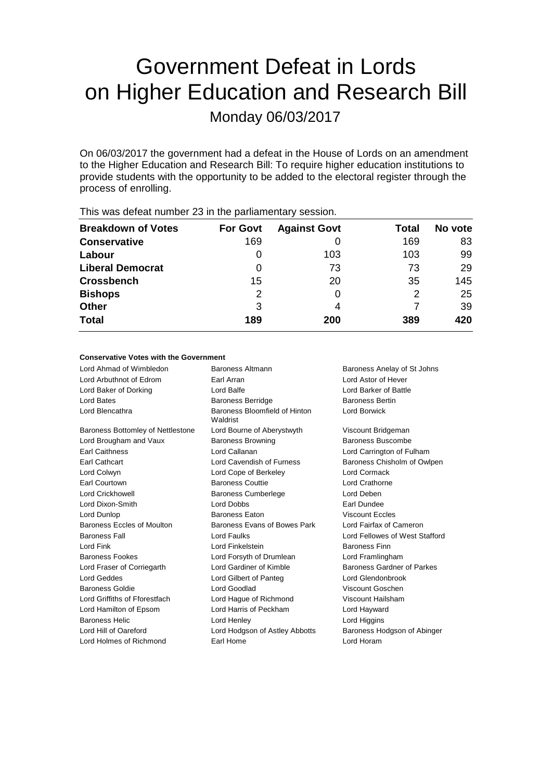# Government Defeat in Lords on Higher Education and Research Bill

Monday 06/03/2017

On 06/03/2017 the government had a defeat in the House of Lords on an amendment to the Higher Education and Research Bill: To require higher education institutions to provide students with the opportunity to be added to the electoral register through the process of enrolling.

| <b>Breakdown of Votes</b> | <b>For Govt</b> | <b>Against Govt</b> | Total | No vote |
|---------------------------|-----------------|---------------------|-------|---------|
| <b>Conservative</b>       | 169             |                     | 169   | 83      |
| Labour                    | 0               | 103                 | 103   | 99      |
| <b>Liberal Democrat</b>   | O               | 73                  | 73    | 29      |
| <b>Crossbench</b>         | 15              | 20                  | 35    | 145     |
| <b>Bishops</b>            | 2               |                     | 2     | 25      |
| <b>Other</b>              | 3               | 4                   |       | 39      |
| <b>Total</b>              | 189             | 200                 | 389   | 420     |
|                           |                 |                     |       |         |

This was defeat number 23 in the parliamentary session.

#### **Conservative Votes with the Government**

| Lord Ahmad of Wimbledon           | Baroness Altmann                          | Baroness Anelay of St Johns    |  |
|-----------------------------------|-------------------------------------------|--------------------------------|--|
| Lord Arbuthnot of Edrom           | Earl Arran                                | Lord Astor of Hever            |  |
| Lord Baker of Dorking             | Lord Balfe                                | Lord Barker of Battle          |  |
| Lord Bates                        | <b>Baroness Berridge</b>                  | <b>Baroness Bertin</b>         |  |
| Lord Blencathra                   | Baroness Bloomfield of Hinton<br>Waldrist | Lord Borwick                   |  |
| Baroness Bottomley of Nettlestone | Lord Bourne of Aberystwyth                | Viscount Bridgeman             |  |
| Lord Brougham and Vaux            | <b>Baroness Browning</b>                  | Baroness Buscombe              |  |
| <b>Earl Caithness</b>             | Lord Callanan                             | Lord Carrington of Fulham      |  |
| <b>Earl Cathcart</b>              | Lord Cavendish of Furness                 | Baroness Chisholm of Owlpen    |  |
| Lord Colwyn                       | Lord Cope of Berkeley                     | Lord Cormack                   |  |
| Earl Courtown                     | <b>Baroness Couttie</b>                   | <b>Lord Crathorne</b>          |  |
| <b>Lord Crickhowell</b>           | <b>Baroness Cumberlege</b>                | Lord Deben                     |  |
| Lord Dixon-Smith                  | Lord Dobbs                                | Earl Dundee                    |  |
| Lord Dunlop                       | <b>Baroness Eaton</b>                     | <b>Viscount Eccles</b>         |  |
| <b>Baroness Eccles of Moulton</b> | Baroness Evans of Bowes Park              | Lord Fairfax of Cameron        |  |
| <b>Baroness Fall</b>              | <b>Lord Faulks</b>                        | Lord Fellowes of West Stafford |  |
| Lord Fink                         | Lord Finkelstein                          | Baroness Finn                  |  |
| <b>Baroness Fookes</b>            | Lord Forsyth of Drumlean                  | Lord Framlingham               |  |
| Lord Fraser of Corriegarth        | Lord Gardiner of Kimble                   | Baroness Gardner of Parkes     |  |
| Lord Geddes                       | Lord Gilbert of Panteg                    | Lord Glendonbrook              |  |
| <b>Baroness Goldie</b>            | Lord Goodlad                              | Viscount Goschen               |  |
| Lord Griffiths of Fforestfach     | Lord Hague of Richmond                    | Viscount Hailsham              |  |
| Lord Hamilton of Epsom            | Lord Harris of Peckham                    | Lord Hayward                   |  |
| <b>Baroness Helic</b>             | Lord Henley                               | Lord Higgins                   |  |
| Lord Hill of Oareford             | Lord Hodgson of Astley Abbotts            | Baroness Hodgson of Abinger    |  |
| Lord Holmes of Richmond           | Earl Home                                 | Lord Horam                     |  |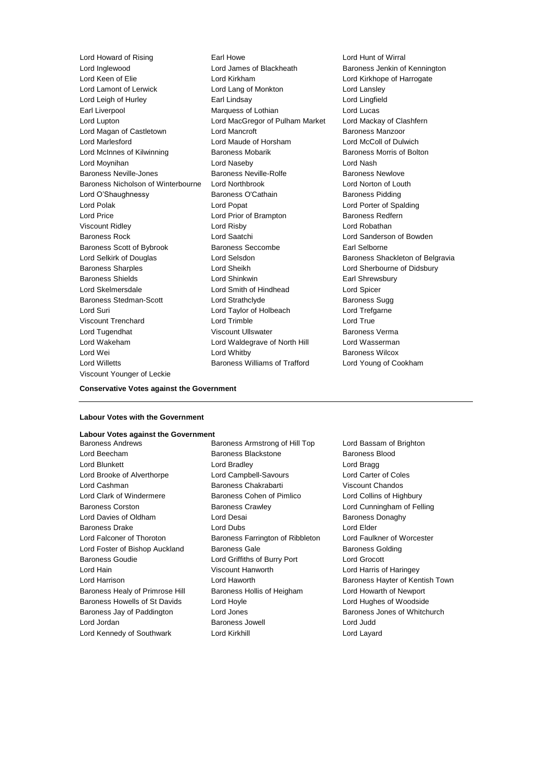Lord Inglewood Lord James of Blackheath Baroness Jenkin of Kennington Lord Keen of Elie **Lord Kirkham** Lord Kirkham Lord Kirkhope of Harrogate Lord Lamont of Lerwick Lord Lang of Monkton Lord Lansley Lord Leigh of Hurley Earl Lindsay Lord Lingfield Earl Liverpool Marquess of Lothian Lord Lucas Lord Lupton Lord MacGregor of Pulham Market Lord Mackay of Clashfern Lord Magan of Castletown **Lord Mancroft Baroness Manzoor** Baroness Manzoor Lord Marlesford Lord Maude of Horsham Lord McColl of Dulwich Lord McInnes of Kilwinning **Baroness Mobarik Baroness Morris of Bolton** Lord Moynihan Lord Naseby Lord Nash Baroness Neville-Jones **Baroness Neville-Rolfe** Baroness Newlove Baroness Nicholson of Winterbourne Lord Northbrook Lord Norton of Louth Lord O'Shaughnessy **Baroness O'Cathain** Baroness Pidding Lord Polak Lord Popat Lord Porter of Spalding Lord Price **Lord Prior of Brampton** Baroness Redfern Viscount Ridley Lord Risby Lord Robathan Baroness Rock Lord Saatchi Lord Sanderson of Bowden Baroness Scott of Bybrook Baroness Seccombe Earl Selborne Lord Selkirk of Douglas **Lord Selsdon** Baroness Shackleton of Belgravia Baroness Sharples Lord Sheikh Lord Sherbourne of Didsbury Baroness Shields **Lord Shinkwin** Earl Shrewsbury Lord Skelmersdale Lord Smith of Hindhead Lord Spicer Baroness Stedman-Scott Lord Strathclyde Baroness Sugg Lord Suri Lord Taylor of Holbeach Lord Trefgarne Viscount Trenchard Lord Trimble Lord True Lord Tugendhat Viscount Ullswater Baroness Verma Lord Wakeham Lord Waldegrave of North Hill Lord Wasserman Lord Wei Lord Whitby Baroness Wilcox Lord Willetts Baroness Williams of Trafford Lord Young of Cookham Viscount Younger of Leckie

Lord Howard of Rising **Earl Howe** Earl Howe Lord Hunt of Wirral

#### **Conservative Votes against the Government**

#### **Labour Votes with the Government**

### **Labour Votes against the Government**

Lord Beecham **Baroness Blackstone** Baroness Blood Lord Blunkett **Lord Bradley** Cord Bradley **Lord Bragg** Lord Brooke of Alverthorpe Lord Campbell-Savours Lord Carter of Coles Lord Cashman Baroness Chakrabarti Viscount Chandos Lord Clark of Windermere Baroness Cohen of Pimlico Lord Collins of Highbury Baroness Corston Baroness Crawley Lord Cunningham of Felling Lord Davies of Oldham Lord Desai Baroness Donaghy Baroness Drake Lord Dubs Lord Elder Lord Falconer of Thoroton Baroness Farrington of Ribbleton Lord Faulkner of Worcester Lord Foster of Bishop Auckland Baroness Gale Baroness Golding Baroness Goudie Lord Griffiths of Burry Port Lord Grocott Lord Hain Viscount Hanworth Lord Harris of Haringey Lord Harrison **Lord Haworth Baroness Hayter of Kentish Town** Baroness Healy of Primrose Hill Baroness Hollis of Heigham Lord Howarth of Newport Baroness Howells of St Davids Lord Hoyle Lord How Lord Hughes of Woodside Baroness Jay of Paddington Lord Jones **Baroness Jones of Whitchurch** Baroness Jones of Whitchurch Lord Jordan Baroness Jowell Lord Judd Lord Kennedy of Southwark Lord Kirkhill Lord Layard

Baroness Armstrong of Hill Top Lord Bassam of Brighton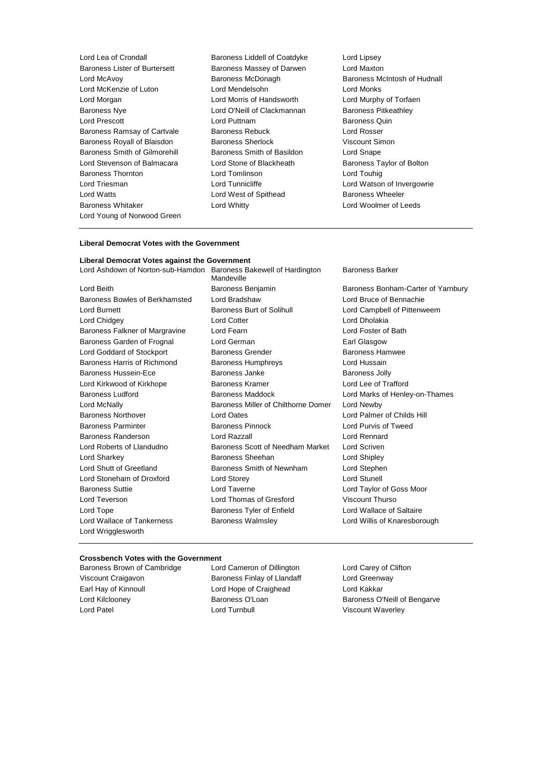Lord Lea of Crondall Baroness Liddell of Coatdyke Lord Lipsey Baroness Lister of Burtersett Baroness Massey of Darwen Lord Maxton Lord McAvoy Baroness McDonagh Baroness McIntosh of Hudnall Lord McKenzie of Luton Lord Mendelsohn Lord Monks Lord Morgan Lord Morris of Handsworth Lord Murphy of Torfaen Baroness Nye **Lord O'Neill of Clackmannan** Baroness Pitkeathley Lord Prescott **Lord Puttnam** Baroness Quin Baroness Ramsay of Cartvale Baroness Rebuck Lord Rosser Baroness Royall of Blaisdon Baroness Sherlock Viscount Simon Baroness Smith of Gilmorehill Baroness Smith of Basildon Lord Snape Lord Stevenson of Balmacara Lord Stone of Blackheath Baroness Taylor of Bolton Baroness Thornton Lord Tomlinson Lord Touhig Lord Triesman **Lord Lord Tunnicliffe** Lord Lord Watson of Invergowrie Lord Watts Lord West of Spithead Baroness Wheeler Baroness Whitaker **Lord Whitty Lord Whitty Lord Woolmer of Leeds** Lord Young of Norwood Green

#### **Liberal Democrat Votes with the Government**

#### **Liberal Democrat Votes against the Government**

Baroness Bowles of Berkhamsted Lord Bradshaw Lord Bruce of Bennachie Lord Burnett **Baroness Burt of Solihull** Lord Campbell of Pittenweem Lord Chidgey **Lord Cotter Lord Cotter** Lord Cotter **Lord Chidgey** Baroness Falkner of Margravine Lord Fearn Lord Foster of Bath Baroness Garden of Frognal Lord German **Earl Glasgow** Earl Glasgow Lord Goddard of Stockport Baroness Grender Baroness Hamwee Baroness Harris of Richmond Baroness Humphreys Lord Hussain Baroness Hussein-Ece **Baroness Janke** Baroness Janke Baroness Jolly Lord Kirkwood of Kirkhope **Baroness Kramer** Baroness Kramer Lord Lee of Trafford Baroness Ludford **Baroness Maddock Baroness Maddock** Lord Marks of Henley-on-Thames Lord McNally Baroness Miller of Chilthorne Domer Lord Newby Baroness Northover Lord Oates Lord Palmer of Childs Hill Baroness Parminter Baroness Pinnock Lord Purvis of Tweed Baroness Randerson Lord Razzall Lord Rennard Lord Roberts of Llandudno **Baroness Scott of Needham Market Lord Scriven** Lord Sharkey **Baroness Sheehan** Lord Shipley **Lord Shipley** Lord Shutt of Greetland **Baroness Smith of Newnham** Lord Stephen Lord Stoneham of Droxford Lord Storey Lord Stunell Baroness Suttie Lord Taverne Lord Taylor of Goss Moor Lord Teverson Lord Thomas of Gresford Viscount Thurso Lord Tope **Baroness Tyler of Enfield** Lord Wallace of Saltaire Lord Wallace of Tankerness **Baroness Walmsley Communist Conduct And Willis of Knaresborough** Lord Wrigglesworth

Lord Ashdown of Norton-sub-Hamdon Baroness Bakewell of Hardington Mandeville

Baroness Barker

Lord Beith **Baroness Benjamin** Baroness Bandamess Bonham-Carter of Yarnbury

### **Crossbench Votes with the Government**<br>
Baroness Brown of Cambridge Lord Cameron of Dillington

Baroness Brown of Cambridge Lord Cameron of Dillington Lord Carey of Clifton Viscount Craigavon **Baroness Finlay of Llandaff** Lord Greenway Earl Hay of Kinnoull **Lord Hope of Craighead** Lord Kakkar Lord Patel Lord Turnbull Viscount Waverley

Lord Kilclooney Baroness O'Loan Baroness O'Neill of Bengarve